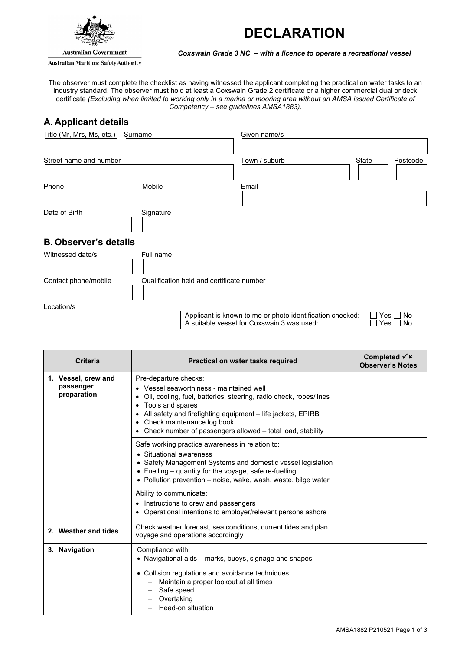



**Australian Government** 

**Australian Maritime Safety Authority** 

*Coxswain Grade 3 NC – with a licence to operate a recreational vessel*

The observer must complete the checklist as having witnessed the applicant completing the practical on water tasks to an industry standard. The observer must hold at least a Coxswain Grade 2 certificate or a higher commercial dual or deck certificate *(Excluding when limited to working only in a marina or mooring area without an AMSA issued Certificate of Competency – see guidelines AMSA1883).*

# **A. Applicant details**

| Title (Mr, Mrs, Ms, etc.)<br>Surname |           | Given name/s  |                   |  |
|--------------------------------------|-----------|---------------|-------------------|--|
|                                      |           |               |                   |  |
| Street name and number               |           | Town / suburb | State<br>Postcode |  |
|                                      |           |               |                   |  |
| Phone                                | Mobile    | Email         |                   |  |
|                                      |           |               |                   |  |
| Date of Birth                        | Signature |               |                   |  |
|                                      |           |               |                   |  |
| <b>B. Observer's details</b>         |           |               |                   |  |
|                                      |           |               |                   |  |

| Witnessed date/s     | Full name                                                                                                                                                     |
|----------------------|---------------------------------------------------------------------------------------------------------------------------------------------------------------|
| Contact phone/mobile | Qualification held and certificate number                                                                                                                     |
| Location/s           | $\Box$ Yes $\Box$ No<br>Applicant is known to me or photo identification checked:<br>A suitable vessel for Coxswain 3 was used:<br>$\square$ Yes $\square$ No |

| <b>Criteria</b>                                 | Practical on water tasks required                                                                                                                                                                                                                                                                                       | Completed $\checkmark$ *<br><b>Observer's Notes</b> |
|-------------------------------------------------|-------------------------------------------------------------------------------------------------------------------------------------------------------------------------------------------------------------------------------------------------------------------------------------------------------------------------|-----------------------------------------------------|
| 1. Vessel, crew and<br>passenger<br>preparation | Pre-departure checks:<br>• Vessel seaworthiness - maintained well<br>Oil, cooling, fuel, batteries, steering, radio check, ropes/lines<br>Tools and spares<br>All safety and firefighting equipment - life jackets, EPIRB<br>Check maintenance log book<br>• Check number of passengers allowed – total load, stability |                                                     |
|                                                 | Safe working practice awareness in relation to:<br>• Situational awareness<br>• Safety Management Systems and domestic vessel legislation<br>• Fuelling – quantity for the voyage, safe re-fuelling<br>• Pollution prevention – noise, wake, wash, waste, bilge water                                                   |                                                     |
|                                                 | Ability to communicate:<br>• Instructions to crew and passengers<br>• Operational intentions to employer/relevant persons ashore                                                                                                                                                                                        |                                                     |
| 2. Weather and tides                            | Check weather forecast, sea conditions, current tides and plan<br>voyage and operations accordingly                                                                                                                                                                                                                     |                                                     |
| 3. Navigation                                   | Compliance with:<br>• Navigational aids – marks, buoys, signage and shapes<br>• Collision regulations and avoidance techniques<br>Maintain a proper lookout at all times<br>Safe speed<br>Overtaking<br>Head-on situation                                                                                               |                                                     |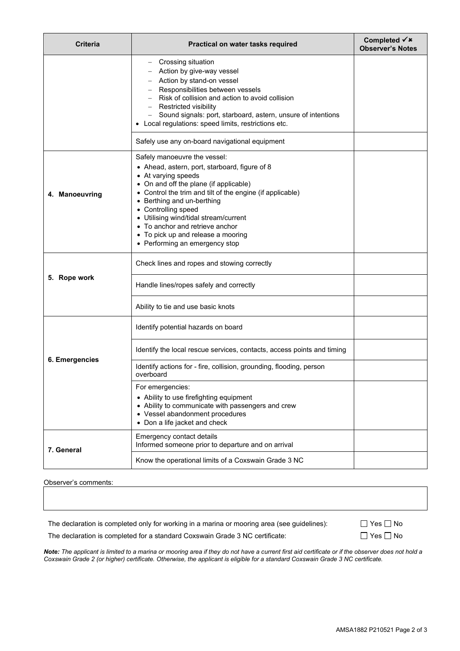| <b>Criteria</b> | Practical on water tasks required                                                                                                                                                                                                                                                                                                                                                                                    | Completed $\checkmark$ x<br><b>Observer's Notes</b> |
|-----------------|----------------------------------------------------------------------------------------------------------------------------------------------------------------------------------------------------------------------------------------------------------------------------------------------------------------------------------------------------------------------------------------------------------------------|-----------------------------------------------------|
|                 | - Crossing situation<br>Action by give-way vessel<br>Action by stand-on vessel<br>Responsibilities between vessels<br>- Risk of collision and action to avoid collision<br>- Restricted visibility<br>- Sound signals: port, starboard, astern, unsure of intentions<br>Local regulations: speed limits, restrictions etc.                                                                                           |                                                     |
|                 | Safely use any on-board navigational equipment                                                                                                                                                                                                                                                                                                                                                                       |                                                     |
| 4. Manoeuvring  | Safely manoeuvre the vessel:<br>• Ahead, astern, port, starboard, figure of 8<br>• At varying speeds<br>• On and off the plane (if applicable)<br>• Control the trim and tilt of the engine (if applicable)<br>• Berthing and un-berthing<br>• Controlling speed<br>• Utilising wind/tidal stream/current<br>• To anchor and retrieve anchor<br>• To pick up and release a mooring<br>• Performing an emergency stop |                                                     |
| 5. Rope work    | Check lines and ropes and stowing correctly                                                                                                                                                                                                                                                                                                                                                                          |                                                     |
|                 | Handle lines/ropes safely and correctly                                                                                                                                                                                                                                                                                                                                                                              |                                                     |
|                 | Ability to tie and use basic knots                                                                                                                                                                                                                                                                                                                                                                                   |                                                     |
| 6. Emergencies  | Identify potential hazards on board                                                                                                                                                                                                                                                                                                                                                                                  |                                                     |
|                 | Identify the local rescue services, contacts, access points and timing                                                                                                                                                                                                                                                                                                                                               |                                                     |
|                 | Identify actions for - fire, collision, grounding, flooding, person<br>overboard                                                                                                                                                                                                                                                                                                                                     |                                                     |
|                 | For emergencies:<br>• Ability to use firefighting equipment<br>• Ability to communicate with passengers and crew<br>• Vessel abandonment procedures<br>• Don a life jacket and check                                                                                                                                                                                                                                 |                                                     |
|                 | Emergency contact details<br>Informed someone prior to departure and on arrival                                                                                                                                                                                                                                                                                                                                      |                                                     |
| 7. General      | Know the operational limits of a Coxswain Grade 3 NC                                                                                                                                                                                                                                                                                                                                                                 |                                                     |

### Observer's comments:

The declaration is completed only for working in a marina or mooring area (see guidelines):

The declaration is completed for a standard Coxswain Grade 3 NC certificate:

| $\square$ Yes $\square$ No |  |
|----------------------------|--|
| $\square$ Yes $\square$ No |  |

*Note: The applicant is limited to a marina or mooring area if they do not have a current first aid certificate or if the observer does not hold a Coxswain Grade 2 (or higher) certificate. Otherwise, the applicant is eligible for a standard Coxswain Grade 3 NC certificate.*